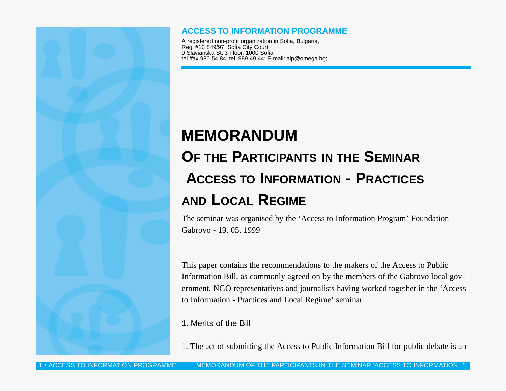#### **ACCESS TO INFORMATION PROGRAMME**

A registered non-profit organization in Sofia, Bulgaria, Reg. #13 849/97, Sofia City Court 9 Slavianska St. 3 Floor, 1000 Sofia tel./fax 980 54 84; tel. 989 49 44; E-mail: aip@omega.bg;

# **MEMORANDUM OF THE PARTICIPANTS IN THE SEMINAR ACCESS TO INFORMATION - PRACTICES AND LOCAL REGIME**

The seminar was organised by the 'Access to Information Program' Foundation Gabrovo - 19. 05. 1999

This paper contains the recommendations to the makers of the Access to Public Information Bill, as commonly agreed on by the members of the Gabrovo local government, NGO representatives and journalists having worked together in the 'Access to Information - Practices and Local Regime' seminar.

1. Merits of the Bill

1. The act of submitting the Access to Public Information Bill for public debate is an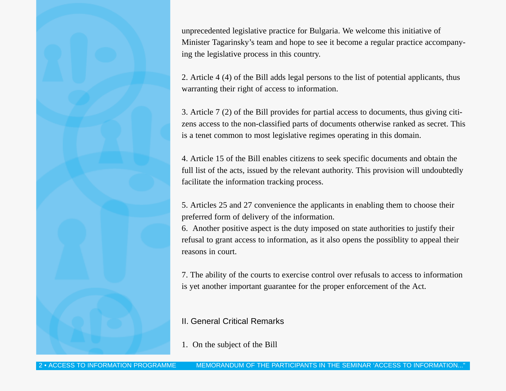unprecedented legislative practice for Bulgaria. We welcome this initiative of Minister Tagarinsky's team and hope to see it become a regular practice accompanying the legislative process in this country.

2. Article 4 (4) of the Bill adds legal persons to the list of potential applicants, thus warranting their right of access to information.

3. Article 7 (2) of the Bill provides for partial access to documents, thus giving citizens access to the non-classified parts of documents otherwise ranked as secret. This is a tenet common to most legislative regimes operating in this domain.

4. Article 15 of the Bill enables citizens to seek specific documents and obtain the full list of the acts, issued by the relevant authority. This provision will undoubtedly facilitate the information tracking process.

5. Articles 25 and 27 convenience the applicants in enabling them to choose their preferred form of delivery of the information.

6. Another positive aspect is the duty imposed on state authorities to justify their refusal to grant access to information, as it also opens the possiblity to appeal their reasons in court.

7. The ability of the courts to exercise control over refusals to access to information is yet another important guarantee for the proper enforcement of the Act.

II. General Critical Remarks

1. On the subject of the Bill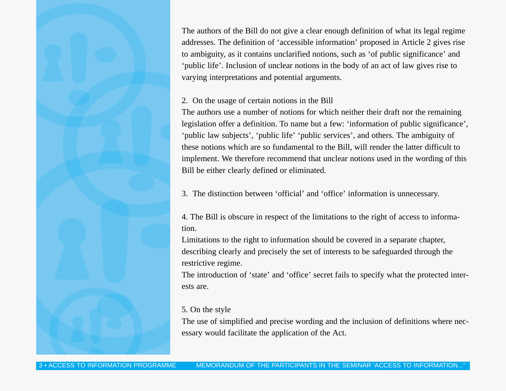The authors of the Bill do not give a clear enough definition of what its legal regime addresses. The definition of 'accessible information' proposed in Article 2 gives rise to ambiguity, as it contains unclarified notions, such as 'of public significance' and 'public life'. Inclusion of unclear notions in the body of an act of law gives rise to varying interpretations and potential arguments.

### 2. On the usage of certain notions in the Bill

The authors use a number of notions for which neither their draft nor the remaining legislation offer a definition. To name but a few: 'information of public significance', 'public law subjects', 'public life' 'public services', and others. The ambiguity of these notions which are so fundamental to the Bill, will render the latter difficult to implement. We therefore recommend that unclear notions used in the wording of this Bill be either clearly defined or eliminated.

3. The distinction between 'official' and 'office' information is unnecessary.

4. The Bill is obscure in respect of the limitations to the right of access to information.

Limitations to the right to information should be covered in a separate chapter, describing clearly and precisely the set of interests to be safeguarded through the restrictive regime.

The introduction of 'state' and 'office' secret fails to specify what the protected interests are.

#### 5. On the style

The use of simplified and precise wording and the inclusion of definitions where necessary would facilitate the application of the Act.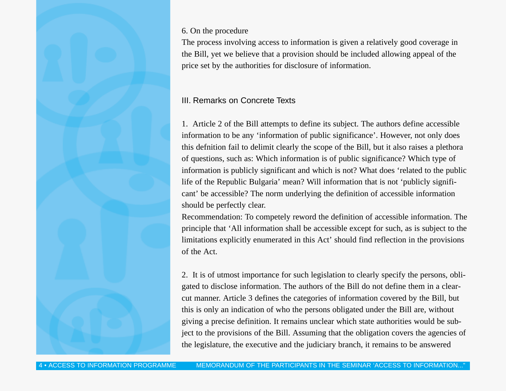6. On the procedure

The process involving access to information is given a relatively good coverage in the Bill, yet we believe that a provision should be included allowing appeal of the price set by the authorities for disclosure of information.

## III. Remarks on Concrete Texts

1. Article 2 of the Bill attempts to define its subject. The authors define accessible information to be any 'information of public significance'. However, not only does this defnition fail to delimit clearly the scope of the Bill, but it also raises a plethora of questions, such as: Which information is of public significance? Which type of information is publicly significant and which is not? What does 'related to the public life of the Republic Bulgaria' mean? Will information that is not 'publicly significant' be accessible? The norm underlying the definition of accessible information should be perfectly clear.

Recommendation: To competely reword the definition of accessible information. The principle that 'All information shall be accessible except for such, as is subject to the limitations explicitly enumerated in this Act' should find reflection in the provisions of the Act.

2. It is of utmost importance for such legislation to clearly specify the persons, obligated to disclose information. The authors of the Bill do not define them in a clearcut manner. Article 3 defines the categories of information covered by the Bill, but this is only an indication of who the persons obligated under the Bill are, without giving a precise definition. It remains unclear which state authorities would be subject to the provisions of the Bill. Assuming that the obligation covers the agencies of the legislature, the executive and the judiciary branch, it remains to be answered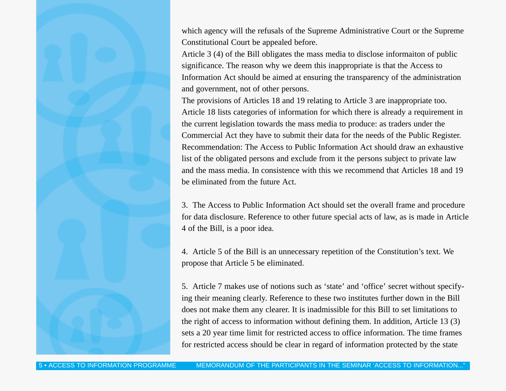which agency will the refusals of the Supreme Administrative Court or the Supreme Constitutional Court be appealed before.

Article 3 (4) of the Bill obligates the mass media to disclose informaiton of public significance. The reason why we deem this inappropriate is that the Access to Information Act should be aimed at ensuring the transparency of the administration and government, not of other persons.

The provisions of Articles 18 and 19 relating to Article 3 are inappropriate too. Article 18 lists categories of information for which there is already a requirement in the current legislation towards the mass media to produce: as traders under the Commercial Act they have to submit their data for the needs of the Public Register. Recommendation: The Access to Public Information Act should draw an exhaustive list of the obligated persons and exclude from it the persons subject to private law and the mass media. In consistence with this we recommend that Articles 18 and 19 be eliminated from the future Act.

3. The Access to Public Information Act should set the overall frame and procedure for data disclosure. Reference to other future special acts of law, as is made in Article 4 of the Bill, is a poor idea.

4. Article 5 of the Bill is an unnecessary repetition of the Constitution's text. We propose that Article 5 be eliminated.

5. Article 7 makes use of notions such as 'state' and 'office' secret without specifying their meaning clearly. Reference to these two institutes further down in the Bill does not make them any clearer. It is inadmissible for this Bill to set limitations to the right of access to information without defining them. In addition, Article 13 (3) sets a 20 year time limit for restricted access to office information. The time frames for restricted access should be clear in regard of information protected by the state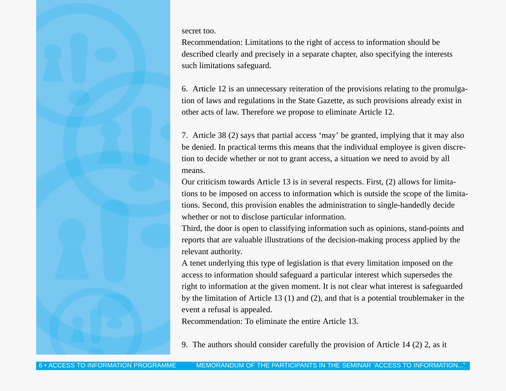secret too.

Recommendation: Limitations to the right of access to information should be described clearly and precisely in a separate chapter, also specifying the interests such limitations safeguard.

6. Article 12 is an unnecessary reiteration of the provisions relating to the promulgation of laws and regulations in the State Gazette, as such provisions already exist in other acts of law. Therefore we propose to eliminate Article 12.

7. Article 38 (2) says that partial access 'may' be granted, implying that it may also be denied. In practical terms this means that the individual employee is given discretion to decide whether or not to grant access, a situation we need to avoid by all means.

Our criticism towards Article 13 is in several respects. First, (2) allows for limitations to be imposed on access to information which is outside the scope of the limitations. Second, this provision enables the administration to single-handedly decide whether or not to disclose particular information.

Third, the door is open to classifying information such as opinions, stand-points and reports that are valuable illustrations of the decision-making process applied by the relevant authority.

A tenet underlying this type of legislation is that every limitation imposed on the access to information should safeguard a particular interest which supersedes the right to information at the given moment. It is not clear what interest is safeguarded by the limitation of Article 13 (1) and (2), and that is a potential troublemaker in the event a refusal is appealed.

Recommendation: To eliminate the entire Article 13.

9. The authors should consider carefully the provision of Article 14 (2) 2, as it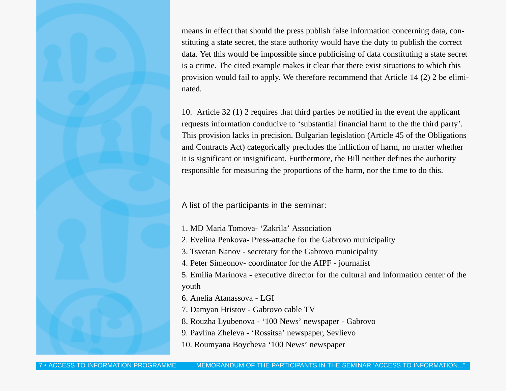means in effect that should the press publish false information concerning data, constituting a state secret, the state authority would have the duty to publish the correct data. Yet this would be impossible since publicising of data constituting a state secret is a crime. The cited example makes it clear that there exist situations to which this provision would fail to apply. We therefore recommend that Article 14 (2) 2 be eliminated.

10. Article 32 (1) 2 requires that third parties be notified in the event the applicant requests information conducive to 'substantial financial harm to the the third party'. This provision lacks in precision. Bulgarian legislation (Article 45 of the Obligations and Contracts Act) categorically precludes the infliction of harm, no matter whether it is significant or insignificant. Furthermore, the Bill neither defines the authority responsible for measuring the proportions of the harm, nor the time to do this.

A list of the participants in the seminar:

- 1. MD Maria Tomova- 'Zakrila' Association
- 2. Evelina Penkova- Press-attache for the Gabrovo municipality
- 3. Tsvetan Nanov secretary for the Gabrovo municipality
- 4. Peter Simeonov- coordinator for the AIPF journalist

5. Emilia Marinova - executive director for the cultural and information center of the youth

6. Anelia Atanassova - LGI

7. Damyan Hristov - Gabrovo cable TV

8. Rouzha Lyubenova - '100 News' newspaper - Gabrovo

9. Pavlina Zheleva - 'Rossitsa' newspaper, Sevlievo

10. Roumyana Boycheva '100 News' newspaper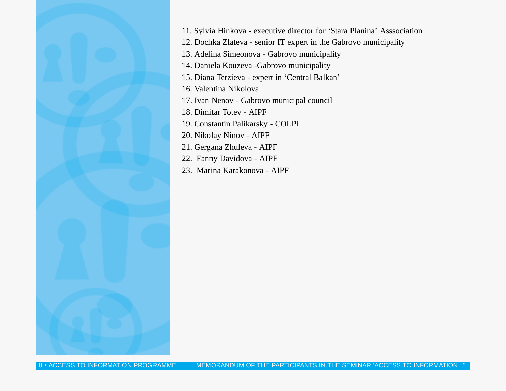- 11. Sylvia Hinkova executive director for 'Stara Planina' Asssociation
- 12. Dochka Zlateva senior IT expert in the Gabrovo municipality
- 13. Adelina Simeonova Gabrovo municipality
- 14. Daniela Kouzeva -Gabrovo municipality
- 15. Diana Terzieva expert in 'Central Balkan'
- 16. Valentina Nikolova
- 17. Ivan Nenov Gabrovo municipal council
- 18. Dimitar Totev AIPF
- 19. Constantin Palikarsky COLPI
- 20. Nikolay Ninov AIPF
- 21. Gergana Zhuleva AIPF
- 22. Fanny Davidova AIPF
- 23. Marina Karakonova AIPF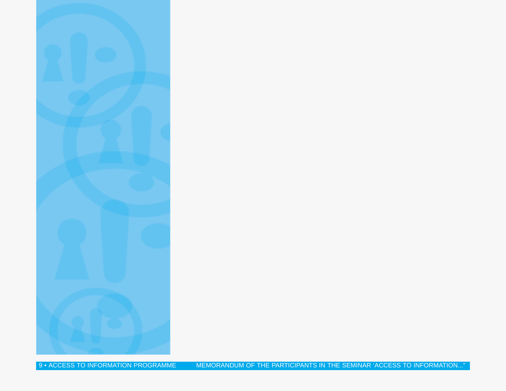